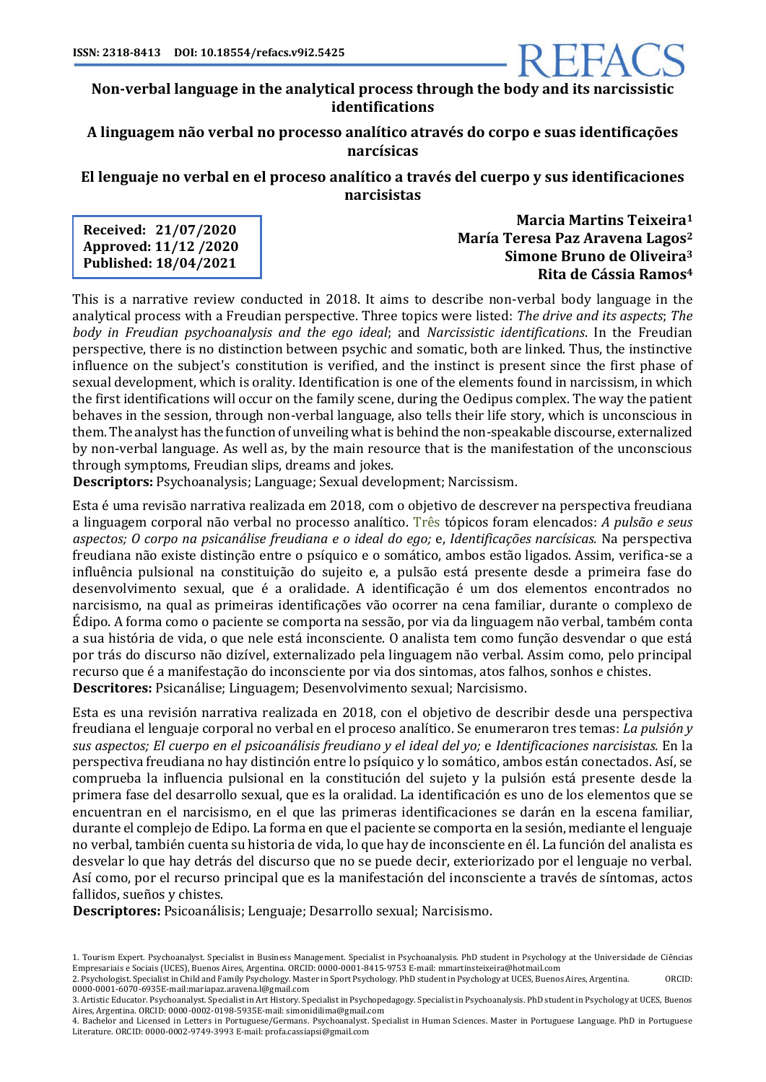

## **A linguagem não verbal no processo analítico através do corpo e suas identificações narcísicas**

**El lenguaje no verbal en el proceso analítico a través del cuerpo y sus identificaciones narcisistas**

**Received: 21/07/2020 Approved: 11/12 /2020 Published: 18/04/2021**

**Marcia Martins Teixeira<sup>1</sup> María Teresa Paz Aravena Lagos<sup>2</sup> Simone Bruno de Oliveira<sup>3</sup> Rita de Cássia Ramos<sup>4</sup>**

This is a narrative review conducted in 2018. It aims to describe non-verbal body language in the analytical process with a Freudian perspective. Three topics were listed: The drive and its aspects; The *body in Freudian psychoanalysis and the ego ideal*; and *Narcissistic identifications*. In the Freudian perspective, there is no distinction between psychic and somatic, both are linked. Thus, the instinctive influence on the subject's constitution is verified, and the instinct is present since the first phase of sexual development, which is orality. Identification is one of the elements found in narcissism, in which the first identifications will occur on the family scene, during the Oedipus complex. The way the patient behaves in the session, through non-verbal language, also tells their life story, which is unconscious in them. The analyst has the function of unveiling what is behind the non-speakable discourse, externalized by non-verbal language. As well as, by the main resource that is the manifestation of the unconscious through symptoms, Freudian slips, dreams and jokes.

**Descriptors:** Psychoanalysis; Language; Sexual development; Narcissism.

Esta é uma revisão narrativa realizada em 2018, com o objetivo de descrever na perspectiva freudiana a linguagem corporal não verbal no processo analítico. Três tópicos foram elencados: *A pulsão e seus aspectos; O corpo na psicanálise freudiana e o ideal do ego;* e, *Identificações narcísicas.* Na perspectiva freudiana não existe distinção entre o psíquico e o somático, ambos estão ligados. Assim, verifica-se a influência pulsional na constituição do sujeito e, a pulsão está presente desde a primeira fase do desenvolvimento sexual, que é a oralidade. A identificação é um dos elementos encontrados no narcisismo, na qual as primeiras identificações vão ocorrer na cena familiar, durante o complexo de Édipo. A forma como o paciente se comporta na sessão, por via da linguagem não verbal, também conta a sua história de vida, o que nele está inconsciente. O analista tem como função desvendar o que está por trás do discurso não dizível, externalizado pela linguagem não verbal. Assim como, pelo principal recurso que é a manifestação do inconsciente por via dos sintomas, atos falhos, sonhos e chistes. **Descritores:** Psicanálise; Linguagem; Desenvolvimento sexual; Narcisismo.

Esta es una revisión narrativa realizada en 2018, con el objetivo de describir desde una perspectiva freudiana el lenguaje corporal no verbal en el proceso analítico. Se enumeraron tres temas: *La pulsión y sus aspectos; El cuerpo en el psicoanálisis freudiano y el ideal del yo;* e *Identificaciones narcisistas.* En la perspectiva freudiana no hay distinción entre lo psíquico y lo somático, ambos están conectados. Así, se comprueba la influencia pulsional en la constitución del sujeto y la pulsión está presente desde la primera fase del desarrollo sexual, que es la oralidad. La identificación es uno de los elementos que se encuentran en el narcisismo, en el que las primeras identificaciones se darán en la escena familiar, durante el complejo de Edipo. La forma en que el paciente se comporta en la sesión, mediante el lenguaje no verbal, también cuenta su historia de vida, lo que hay de inconsciente en él. La función del analista es desvelar lo que hay detrás del discurso que no se puede decir, exteriorizado por el lenguaje no verbal. Así como, por el recurso principal que es la manifestación del inconsciente a través de síntomas, actos fallidos, sueños y chistes.

**Descriptores:** Psicoanálisis; Lenguaje; Desarrollo sexual; Narcisismo.

<sup>1.</sup> Tourism Expert. Psychoanalyst. Specialist in Business Management. Specialist in Psychoanalysis. PhD student in Psychology at the Universidade de Ciências Empresariais e Sociais (UCES), Buenos Aires, Argentina. ORCID: 0000-0001-8415-9753 E-mail: mmartinsteixeira@hotmail.com 2. Psychologist. Specialist in Child and Family Psychology. Master in Sport Psychology. PhD student in Psychology at UCES, Buenos Aires, Argentina. ORCID:

<sup>0000-0001-6070-6935</sup>E-mail:mariapaz.aravena.l@gmail.com

<sup>3.</sup> Artistic Educator. Psychoanalyst. Specialist in Art History. Specialist in Psychopedagogy. Specialist in Psychoanalysis. PhD student in Psychology at UCES, Buenos Aires, Argentina. ORCID: 0000-0002-0198-5935E-mail: simonidilima@gmail.com

<sup>4.</sup> Bachelor and Licensed in Letters in Portuguese/Germans. Psychoanalyst. Specialist in Human Sciences. Master in Portuguese Language. PhD in Portuguese Literature. ORCID: 0000-0002-9749-3993 E-mail: profa.cassiapsi@gmail.com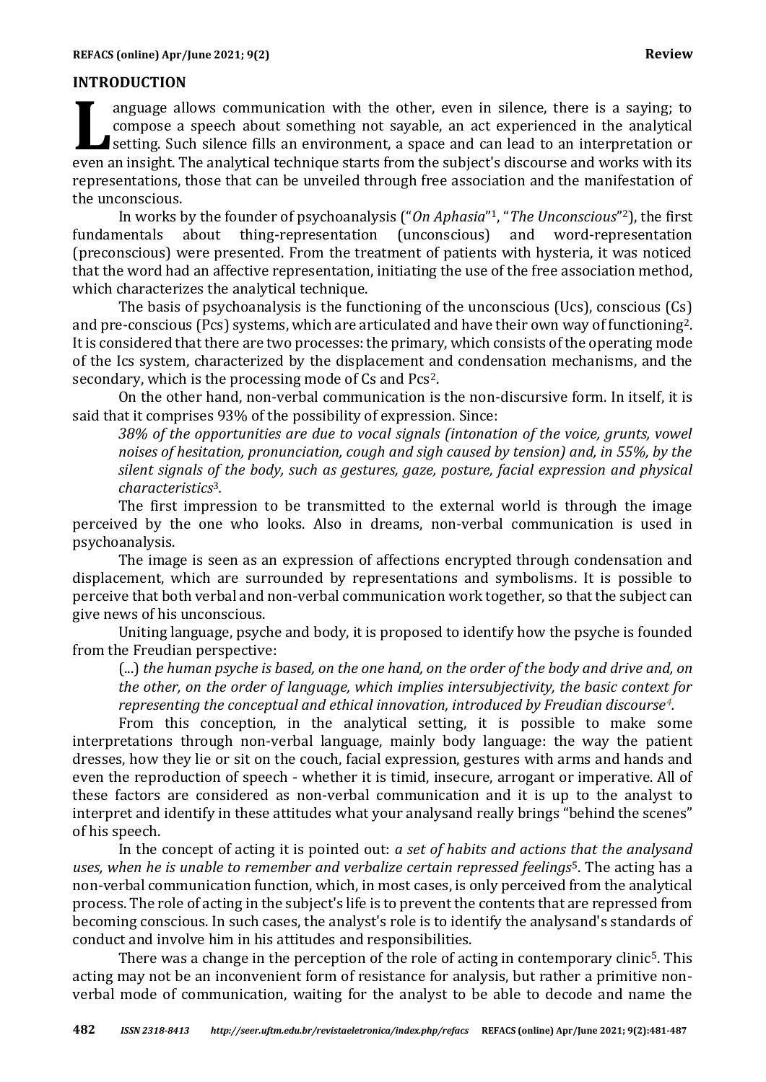### **INTRODUCTION**

anguage allows communication with the other, even in silence, there is a saying; to compose a speech about something not sayable, an act experienced in the analytical setting. Such silence fills an environment, a space and can lead to an interpretation or anguage allows communication with the other, even in silence, there is a saying; to compose a speech about something not sayable, an act experienced in the analytical setting. Such silence fills an environment, a space and representations, those that can be unveiled through free association and the manifestation of the unconscious.

In works by the founder of psychoanalysis ("*On Aphasia*" <sup>1</sup>, "*The Unconscious*" <sup>2</sup>), the first fundamentals about thing-representation (unconscious) and word-representation (preconscious) were presented. From the treatment of patients with hysteria, it was noticed that the word had an affective representation, initiating the use of the free association method, which characterizes the analytical technique.

The basis of psychoanalysis is the functioning of the unconscious (Ucs), conscious (Cs) and pre-conscious (Pcs) systems, which are articulated and have their own way of functioning2. It is considered that there are two processes: the primary, which consists of the operating mode of the Ics system, characterized by the displacement and condensation mechanisms, and the secondary, which is the processing mode of Cs and Pcs2.

On the other hand, non-verbal communication is the non-discursive form. In itself, it is said that it comprises 93% of the possibility of expression. Since:

*38% of the opportunities are due to vocal signals (intonation of the voice, grunts, vowel noises of hesitation, pronunciation, cough and sigh caused by tension) and, in 55%, by the silent signals of the body, such as gestures, gaze, posture, facial expression and physical characteristics*3*.*

The first impression to be transmitted to the external world is through the image perceived by the one who looks. Also in dreams, non-verbal communication is used in psychoanalysis.

The image is seen as an expression of affections encrypted through condensation and displacement, which are surrounded by representations and symbolisms. It is possible to perceive that both verbal and non-verbal communication work together, so that the subject can give news of his unconscious.

Uniting language, psyche and body, it is proposed to identify how the psyche is founded from the Freudian perspective:

(...) *the human psyche is based, on the one hand, on the order of the body and drive and, on the other, on the order of language, which implies intersubjectivity, the basic context for representing the conceptual and ethical innovation, introduced by Freudian discourse4.*

From this conception, in the analytical setting, it is possible to make some interpretations through non-verbal language, mainly body language: the way the patient dresses, how they lie or sit on the couch, facial expression, gestures with arms and hands and even the reproduction of speech - whether it is timid, insecure, arrogant or imperative. All of these factors are considered as non-verbal communication and it is up to the analyst to interpret and identify in these attitudes what your analysand really brings "behind the scenes" of his speech.

In the concept of acting it is pointed out: *a set of habits and actions that the analysand uses, when he is unable to remember and verbalize certain repressed feelings*5. The acting has a non-verbal communication function, which, in most cases, is only perceived from the analytical process. The role of acting in the subject's life is to prevent the contents that are repressed from becoming conscious. In such cases, the analyst's role is to identify the analysand's standards of conduct and involve him in his attitudes and responsibilities.

There was a change in the perception of the role of acting in contemporary clinic<sup>5</sup>. This acting may not be an inconvenient form of resistance for analysis, but rather a primitive nonverbal mode of communication, waiting for the analyst to be able to decode and name the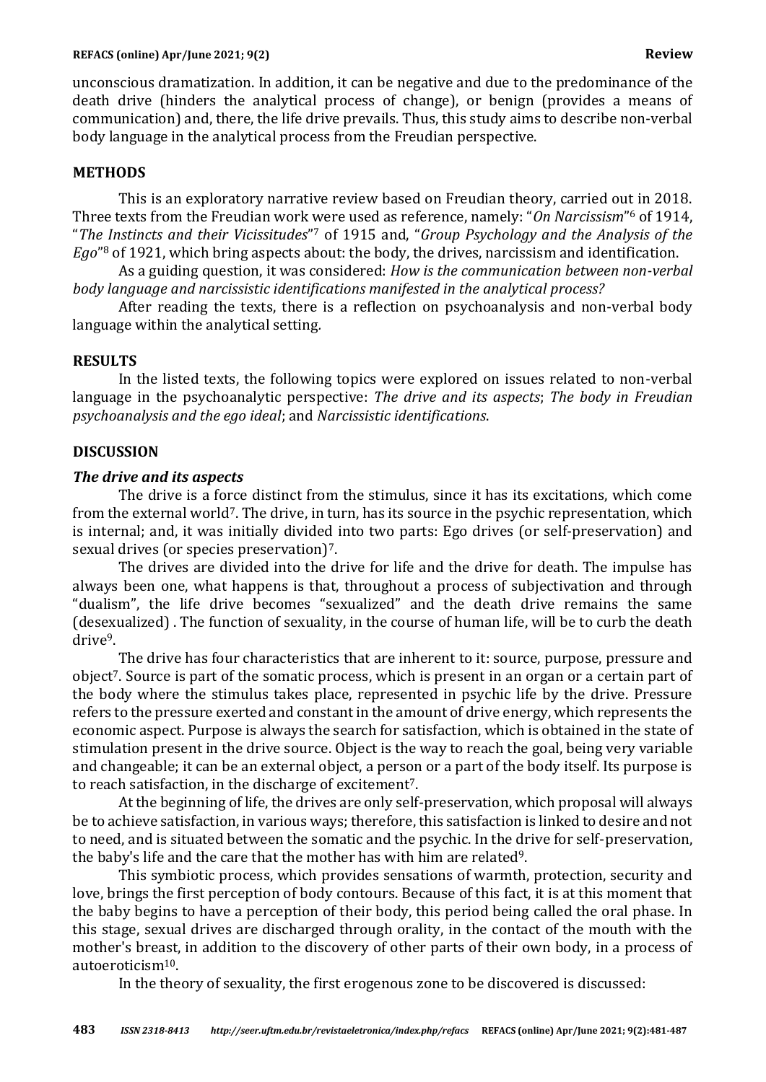unconscious dramatization. In addition, it can be negative and due to the predominance of the death drive (hinders the analytical process of change), or benign (provides a means of communication) and, there, the life drive prevails. Thus, this study aims to describe non-verbal body language in the analytical process from the Freudian perspective.

## **METHODS**

This is an exploratory narrative review based on Freudian theory, carried out in 2018. Three texts from the Freudian work were used as reference, namely: "*On Narcissism*" <sup>6</sup> of 1914, "*The Instincts and their Vicissitudes*" <sup>7</sup> of 1915 and, "*Group Psychology and the Analysis of the Ego*" <sup>8</sup> of 1921, which bring aspects about: the body, the drives, narcissism and identification.

As a guiding question, it was considered: *How is the communication between non-verbal body language and narcissistic identifications manifested in the analytical process?*

After reading the texts, there is a reflection on psychoanalysis and non-verbal body language within the analytical setting*.*

#### **RESULTS**

In the listed texts, the following topics were explored on issues related to non-verbal language in the psychoanalytic perspective: *The drive and its aspects*; *The body in Freudian psychoanalysis and the ego ideal*; and *Narcissistic identifications*.

#### **DISCUSSION**

#### *The drive and its aspects*

The drive is a force distinct from the stimulus, since it has its excitations, which come from the external world<sup>7</sup>. The drive, in turn, has its source in the psychic representation, which is internal; and, it was initially divided into two parts: Ego drives (or self-preservation) and sexual drives (or species preservation)7.

The drives are divided into the drive for life and the drive for death. The impulse has always been one, what happens is that, throughout a process of subjectivation and through "dualism", the life drive becomes "sexualized" and the death drive remains the same (desexualized) . The function of sexuality, in the course of human life, will be to curb the death drive9.

The drive has four characteristics that are inherent to it: source, purpose, pressure and object<sup>7</sup>. Source is part of the somatic process, which is present in an organ or a certain part of the body where the stimulus takes place, represented in psychic life by the drive. Pressure refers to the pressure exerted and constant in the amount of drive energy, which represents the economic aspect. Purpose is always the search for satisfaction, which is obtained in the state of stimulation present in the drive source. Object is the way to reach the goal, being very variable and changeable; it can be an external object, a person or a part of the body itself. Its purpose is to reach satisfaction, in the discharge of excitement7.

At the beginning of life, the drives are only self-preservation, which proposal will always be to achieve satisfaction, in various ways; therefore, this satisfaction is linked to desire and not to need, and is situated between the somatic and the psychic. In the drive for self-preservation, the baby's life and the care that the mother has with him are related9.

This symbiotic process, which provides sensations of warmth, protection, security and love, brings the first perception of body contours. Because of this fact, it is at this moment that the baby begins to have a perception of their body, this period being called the oral phase. In this stage, sexual drives are discharged through orality, in the contact of the mouth with the mother's breast, in addition to the discovery of other parts of their own body, in a process of autoeroticism10.

In the theory of sexuality, the first erogenous zone to be discovered is discussed: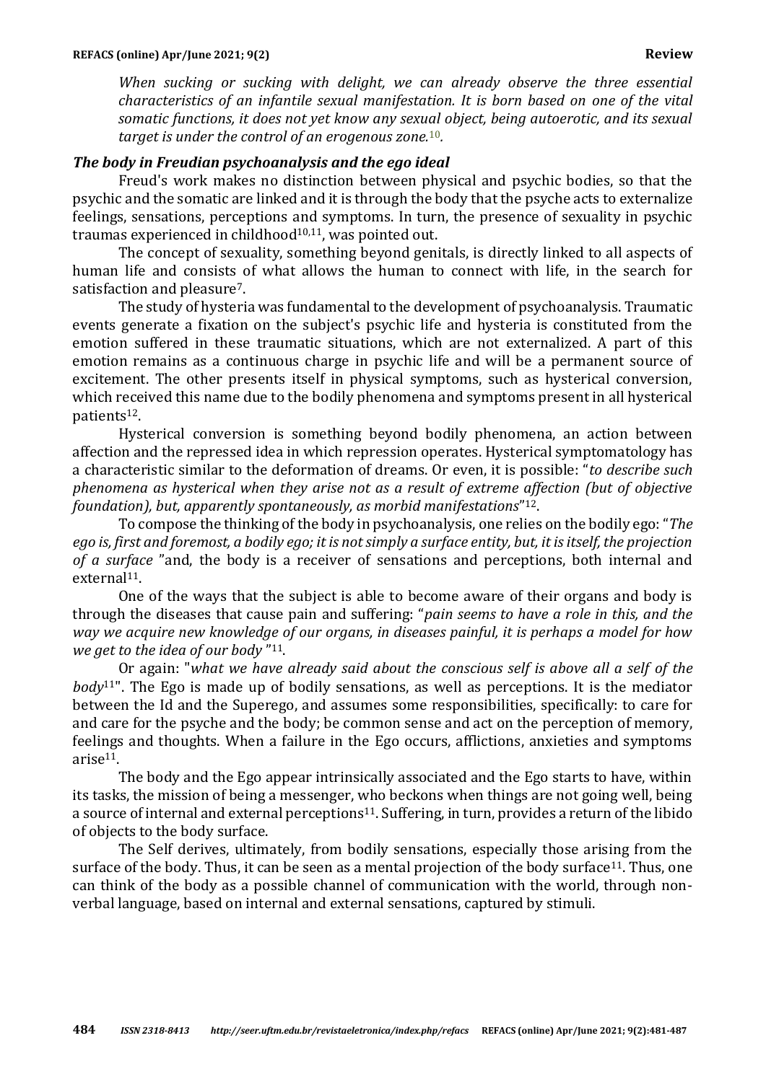*When sucking or sucking with delight, we can already observe the three essential characteristics of an infantile sexual manifestation. It is born based on one of the vital somatic functions, it does not yet know any sexual object, being autoerotic, and its sexual target is under the control of an erogenous zone.*10*.*

### *The body in Freudian psychoanalysis and the ego ideal*

Freud's work makes no distinction between physical and psychic bodies, so that the psychic and the somatic are linked and it is through the body that the psyche acts to externalize feelings, sensations, perceptions and symptoms. In turn, the presence of sexuality in psychic traumas experienced in childhood<sup>10,11</sup>, was pointed out.

The concept of sexuality, something beyond genitals, is directly linked to all aspects of human life and consists of what allows the human to connect with life, in the search for satisfaction and pleasure7.

The study of hysteria was fundamental to the development of psychoanalysis. Traumatic events generate a fixation on the subject's psychic life and hysteria is constituted from the emotion suffered in these traumatic situations, which are not externalized. A part of this emotion remains as a continuous charge in psychic life and will be a permanent source of excitement. The other presents itself in physical symptoms, such as hysterical conversion, which received this name due to the bodily phenomena and symptoms present in all hysterical patients12.

Hysterical conversion is something beyond bodily phenomena, an action between affection and the repressed idea in which repression operates. Hysterical symptomatology has a characteristic similar to the deformation of dreams. Or even, it is possible: "*to describe such phenomena as hysterical when they arise not as a result of extreme affection (but of objective foundation), but, apparently spontaneously, as morbid manifestations*" 12.

To compose the thinking of the body in psychoanalysis, one relies on the bodily ego: "*The ego is, first and foremost, a bodily ego; it is not simply a surface entity, but, it is itself, the projection of a surface* "and, the body is a receiver of sensations and perceptions, both internal and external<sup>11</sup>.

One of the ways that the subject is able to become aware of their organs and body is through the diseases that cause pain and suffering: "*pain seems to have a role in this, and the way we acquire new knowledge of our organs, in diseases painful, it is perhaps a model for how we get to the idea of our body* " 11.

Or again: "*what we have already said about the conscious self is above all a self of the body*11". The Ego is made up of bodily sensations, as well as perceptions. It is the mediator between the Id and the Superego, and assumes some responsibilities, specifically: to care for and care for the psyche and the body; be common sense and act on the perception of memory, feelings and thoughts. When a failure in the Ego occurs, afflictions, anxieties and symptoms arise11.

The body and the Ego appear intrinsically associated and the Ego starts to have, within its tasks, the mission of being a messenger, who beckons when things are not going well, being a source of internal and external perceptions<sup>11</sup>. Suffering, in turn, provides a return of the libido of objects to the body surface.

The Self derives, ultimately, from bodily sensations, especially those arising from the surface of the body. Thus, it can be seen as a mental projection of the body surface<sup>11</sup>. Thus, one can think of the body as a possible channel of communication with the world, through nonverbal language, based on internal and external sensations, captured by stimuli.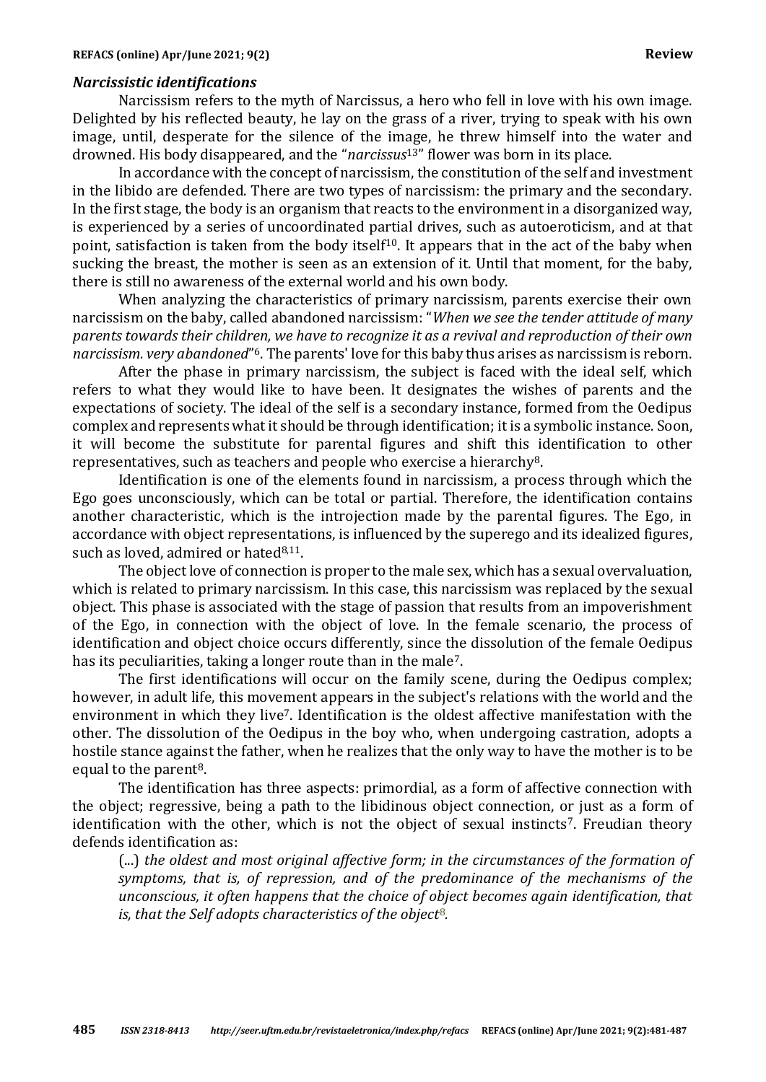#### *Narcissistic identifications*

Narcissism refers to the myth of Narcissus, a hero who fell in love with his own image. Delighted by his reflected beauty, he lay on the grass of a river, trying to speak with his own image, until, desperate for the silence of the image, he threw himself into the water and drowned. His body disappeared, and the "*narcissus*13" flower was born in its place.

In accordance with the concept of narcissism, the constitution of the self and investment in the libido are defended. There are two types of narcissism: the primary and the secondary. In the first stage, the body is an organism that reacts to the environment in a disorganized way, is experienced by a series of uncoordinated partial drives, such as autoeroticism, and at that point, satisfaction is taken from the body itself<sup>10</sup>. It appears that in the act of the baby when sucking the breast, the mother is seen as an extension of it. Until that moment, for the baby, there is still no awareness of the external world and his own body.

When analyzing the characteristics of primary narcissism, parents exercise their own narcissism on the baby, called abandoned narcissism: "*When we see the tender attitude of many parents towards their children, we have to recognize it as a revival and reproduction of their own narcissism. very abandoned*" <sup>6</sup>. The parents' love for this baby thus arises as narcissism is reborn.

After the phase in primary narcissism, the subject is faced with the ideal self, which refers to what they would like to have been. It designates the wishes of parents and the expectations of society. The ideal of the self is a secondary instance, formed from the Oedipus complex and represents what it should be through identification; it is a symbolic instance. Soon, it will become the substitute for parental figures and shift this identification to other representatives, such as teachers and people who exercise a hierarchy8.

Identification is one of the elements found in narcissism, a process through which the Ego goes unconsciously, which can be total or partial. Therefore, the identification contains another characteristic, which is the introjection made by the parental figures. The Ego, in accordance with object representations, is influenced by the superego and its idealized figures, such as loved, admired or hated $8,11$ .

The object love of connection is proper to the male sex, which has a sexual overvaluation, which is related to primary narcissism. In this case, this narcissism was replaced by the sexual object. This phase is associated with the stage of passion that results from an impoverishment of the Ego, in connection with the object of love. In the female scenario, the process of identification and object choice occurs differently, since the dissolution of the female Oedipus has its peculiarities, taking a longer route than in the male<sup>7</sup>.

The first identifications will occur on the family scene, during the Oedipus complex; however, in adult life, this movement appears in the subject's relations with the world and the environment in which they live7. Identification is the oldest affective manifestation with the other. The dissolution of the Oedipus in the boy who, when undergoing castration, adopts a hostile stance against the father, when he realizes that the only way to have the mother is to be equal to the parent<sup>8</sup>.

The identification has three aspects: primordial, as a form of affective connection with the object; regressive, being a path to the libidinous object connection, or just as a form of identification with the other, which is not the object of sexual instincts<sup>7</sup>. Freudian theory defends identification as:

(...) *the oldest and most original affective form; in the circumstances of the formation of symptoms, that is, of repression, and of the predominance of the mechanisms of the unconscious, it often happens that the choice of object becomes again identification, that is, that the Self adopts characteristics of the object*8*.*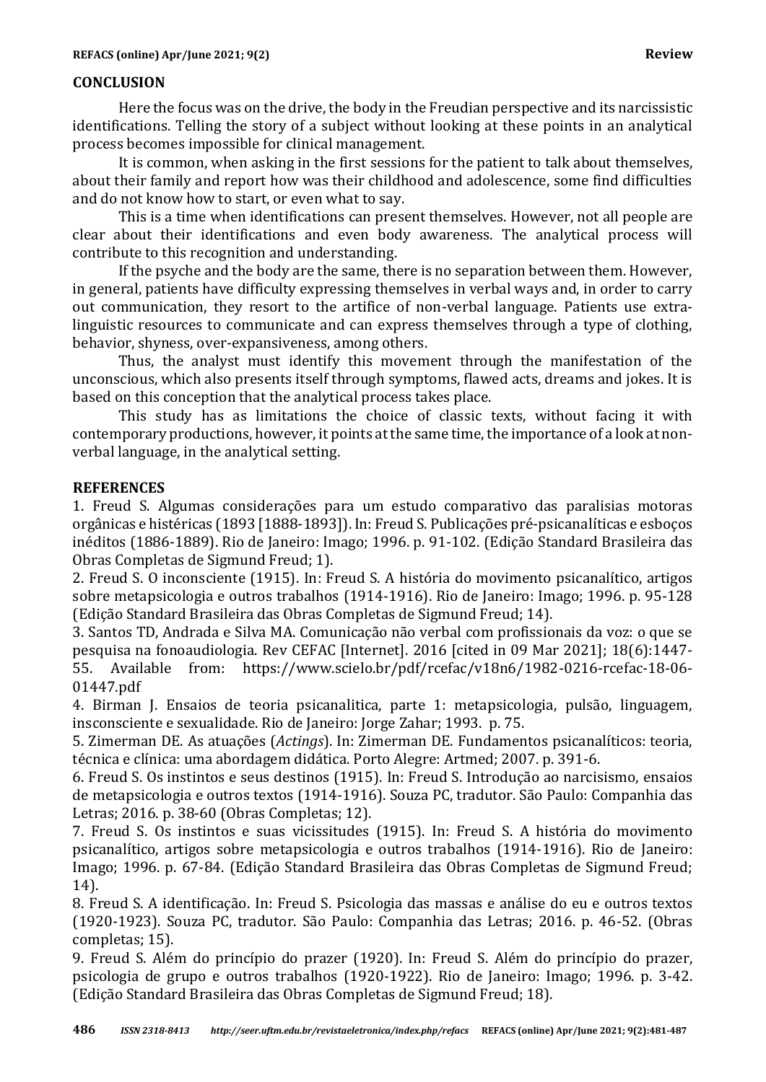## **CONCLUSION**

Here the focus was on the drive, the body in the Freudian perspective and its narcissistic identifications. Telling the story of a subject without looking at these points in an analytical process becomes impossible for clinical management.

It is common, when asking in the first sessions for the patient to talk about themselves, about their family and report how was their childhood and adolescence, some find difficulties and do not know how to start, or even what to say.

This is a time when identifications can present themselves. However, not all people are clear about their identifications and even body awareness. The analytical process will contribute to this recognition and understanding.

If the psyche and the body are the same, there is no separation between them. However, in general, patients have difficulty expressing themselves in verbal ways and, in order to carry out communication, they resort to the artifice of non-verbal language. Patients use extralinguistic resources to communicate and can express themselves through a type of clothing, behavior, shyness, over-expansiveness, among others.

Thus, the analyst must identify this movement through the manifestation of the unconscious, which also presents itself through symptoms, flawed acts, dreams and jokes. It is based on this conception that the analytical process takes place.

This study has as limitations the choice of classic texts, without facing it with contemporary productions, however, it points at the same time, the importance of a look at nonverbal language, in the analytical setting.

# **REFERENCES**

1. Freud S. Algumas considerações para um estudo comparativo das paralisias motoras orgânicas e histéricas (1893 [1888-1893]). In: Freud S. Publicações pré-psicanalíticas e esboços inéditos (1886-1889). Rio de Janeiro: Imago; 1996. p. 91-102. (Edição Standard Brasileira das Obras Completas de Sigmund Freud; 1).

2. Freud S. O inconsciente (1915). In: Freud S. A história do movimento psicanalítico, artigos sobre metapsicologia e outros trabalhos (1914-1916). Rio de Janeiro: Imago; 1996. p. 95-128 (Edição Standard Brasileira das Obras Completas de Sigmund Freud; 14).

3. Santos TD, Andrada e Silva MA. Comunicação não verbal com profissionais da voz: o que se pesquisa na fonoaudiologia. Rev CEFAC [Internet]. 2016 [cited in 09 Mar 2021]; 18(6):1447- 55. Available from: https://www.scielo.br/pdf/rcefac/v18n6/1982-0216-rcefac-18-06- 01447.pdf

4. Birman J. Ensaios de teoria psicanalitica, parte 1: metapsicologia, pulsão, linguagem, insconsciente e sexualidade. Rio de Janeiro: Jorge Zahar; 1993. p. 75.

5. Zimerman DE. As atuações (*Actings*). In: Zimerman DE. Fundamentos psicanalíticos: teoria, técnica e clínica: uma abordagem didática. Porto Alegre: Artmed; 2007. p. 391-6.

6. Freud S. Os instintos e seus destinos (1915). In: Freud S. Introdução ao narcisismo, ensaios de metapsicologia e outros textos (1914-1916). Souza PC, tradutor. São Paulo: Companhia das Letras; 2016. p. 38-60 (Obras Completas; 12).

7. Freud S. Os instintos e suas vicissitudes (1915). In: Freud S. A história do movimento psicanalítico, artigos sobre metapsicologia e outros trabalhos (1914-1916). Rio de Janeiro: Imago; 1996. p. 67-84. (Edição Standard Brasileira das Obras Completas de Sigmund Freud; 14).

8. Freud S. A identificação. In: Freud S. Psicologia das massas e análise do eu e outros textos (1920-1923). Souza PC, tradutor. São Paulo: Companhia das Letras; 2016. p. 46-52. (Obras completas; 15).

9. Freud S. Além do princípio do prazer (1920). In: Freud S. Além do princípio do prazer, psicologia de grupo e outros trabalhos (1920-1922). Rio de Janeiro: Imago; 1996. p. 3-42. (Edição Standard Brasileira das Obras Completas de Sigmund Freud; 18).